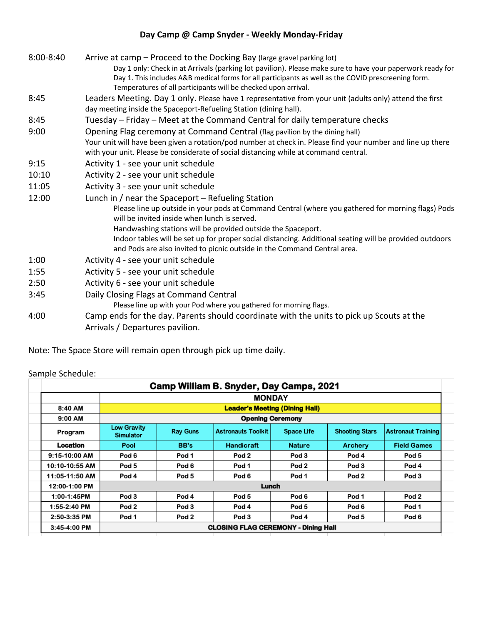## **Day Camp @ Camp Snyder - Weekly Monday-Friday**

| $8:00 - 8:40$ | Arrive at camp - Proceed to the Docking Bay (large gravel parking lot)                                                                                                                              |
|---------------|-----------------------------------------------------------------------------------------------------------------------------------------------------------------------------------------------------|
|               | Day 1 only: Check in at Arrivals (parking lot pavilion). Please make sure to have your paperwork ready for                                                                                          |
|               | Day 1. This includes A&B medical forms for all participants as well as the COVID prescreening form.                                                                                                 |
|               | Temperatures of all participants will be checked upon arrival.                                                                                                                                      |
| 8:45          | Leaders Meeting. Day 1 only. Please have 1 representative from your unit (adults only) attend the first<br>day meeting inside the Spaceport-Refueling Station (dining hall).                        |
| 8:45          | Tuesday - Friday - Meet at the Command Central for daily temperature checks                                                                                                                         |
| 9:00          | Opening Flag ceremony at Command Central (flag pavilion by the dining hall)                                                                                                                         |
|               | Your unit will have been given a rotation/pod number at check in. Please find your number and line up there<br>with your unit. Please be considerate of social distancing while at command central. |
| 9:15          | Activity 1 - see your unit schedule                                                                                                                                                                 |
| 10:10         | Activity 2 - see your unit schedule                                                                                                                                                                 |
| 11:05         | Activity 3 - see your unit schedule                                                                                                                                                                 |
| 12:00         | Lunch in / near the Spaceport - Refueling Station                                                                                                                                                   |
|               | Please line up outside in your pods at Command Central (where you gathered for morning flags) Pods                                                                                                  |
|               | will be invited inside when lunch is served.                                                                                                                                                        |
|               | Handwashing stations will be provided outside the Spaceport.                                                                                                                                        |
|               | Indoor tables will be set up for proper social distancing. Additional seating will be provided outdoors<br>and Pods are also invited to picnic outside in the Command Central area.                 |
| 1:00          | Activity 4 - see your unit schedule                                                                                                                                                                 |
| 1:55          | Activity 5 - see your unit schedule                                                                                                                                                                 |
| 2:50          | Activity 6 - see your unit schedule                                                                                                                                                                 |
| 3:45          | Daily Closing Flags at Command Central                                                                                                                                                              |
|               | Please line up with your Pod where you gathered for morning flags.                                                                                                                                  |
| 4:00          | Camp ends for the day. Parents should coordinate with the units to pick up Scouts at the                                                                                                            |
|               | Arrivals / Departures pavilion.                                                                                                                                                                     |

Note: The Space Store will remain open through pick up time daily.

|                |                                            |                  | Camp William B. Snyder, Day Camps, 2021 |                   |                       |                           |  |  |  |
|----------------|--------------------------------------------|------------------|-----------------------------------------|-------------------|-----------------------|---------------------------|--|--|--|
|                | <b>MONDAY</b>                              |                  |                                         |                   |                       |                           |  |  |  |
| 8:40 AM        | <b>Leader's Meeting (Dining Hall)</b>      |                  |                                         |                   |                       |                           |  |  |  |
| 9:00 AM        | <b>Opening Ceremony</b>                    |                  |                                         |                   |                       |                           |  |  |  |
| Program        | <b>Low Gravity</b><br><b>Simulator</b>     | <b>Ray Guns</b>  | <b>Astronauts Toolkit</b>               | <b>Space Life</b> | <b>Shooting Stars</b> | <b>Astronaut Training</b> |  |  |  |
| Location       | Pool                                       | BB's             | <b>Handicraft</b>                       | <b>Nature</b>     | <b>Archery</b>        | <b>Field Games</b>        |  |  |  |
| 9:15-10:00 AM  | Pod 6                                      | Pod 1            | Pod 2                                   | Pod 3             | Pod 4                 | Pod 5                     |  |  |  |
| 10:10-10:55 AM | Pod 5                                      | Pod 6            | Pod 1                                   | Pod <sub>2</sub>  | Pod 3                 | Pod 4                     |  |  |  |
| 11:05-11:50 AM | Pod 4                                      | Pod 5            | Pod 6                                   | Pod 1             | Pod 2                 | Pod 3                     |  |  |  |
| 12:00-1:00 PM  | Lunch                                      |                  |                                         |                   |                       |                           |  |  |  |
| 1:00-1:45PM    | Pod 3                                      | Pod 4            | Pod 5                                   | Pod 6             | Pod 1                 | Pod 2                     |  |  |  |
| $1:55-2:40$ PM | Pod <sub>2</sub>                           | Pod 3            | Pod 4                                   | Pod 5             | Pod 6                 | Pod 1                     |  |  |  |
| 2:50-3:35 PM   | Pod 1                                      | Pod <sub>2</sub> | Pod 3                                   | Pod 4             | Pod 5                 | Pod 6                     |  |  |  |
| 3:45-4:00 PM   | <b>CLOSING FLAG CEREMONY - Dining Hall</b> |                  |                                         |                   |                       |                           |  |  |  |

## Sample Schedule: